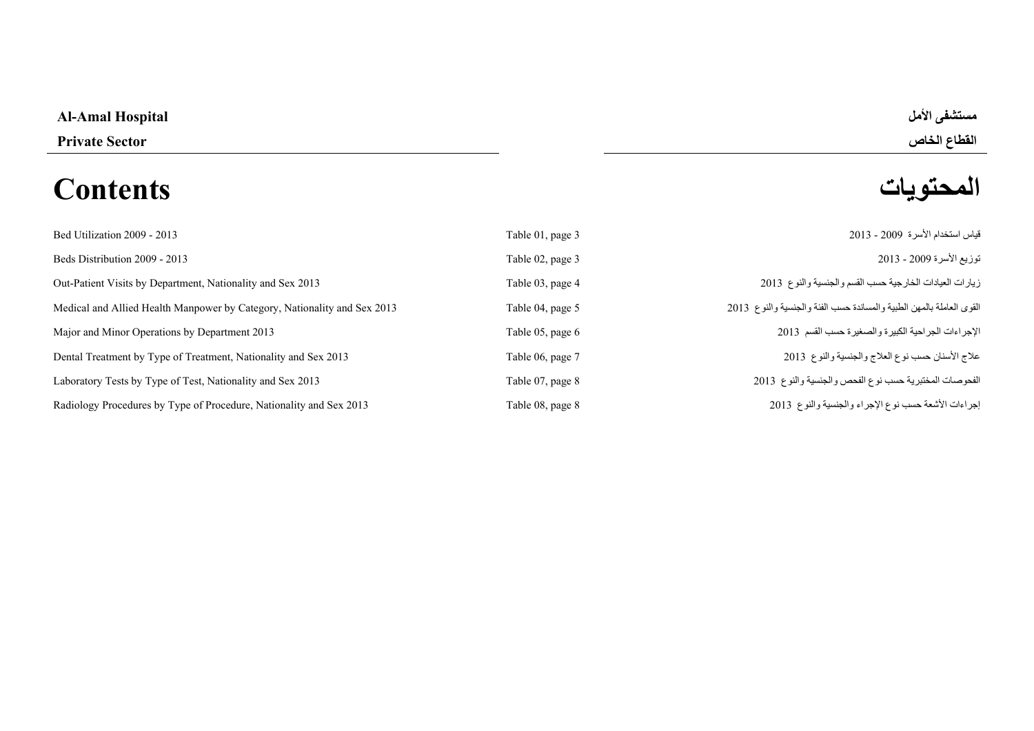# **Al-Amal Hospital األمل مستشفى**

# **المحتويات Contents**

**القطاع الخاص Sector Private** 

| Bed Utilization 2009 - 2013                                              | Table 01, page 3 | قياس استخدام الأسرة 2009 - 2013                                      |
|--------------------------------------------------------------------------|------------------|----------------------------------------------------------------------|
| Beds Distribution 2009 - 2013                                            | Table 02, page 3 | توزيع الأسرة 2009 - 2013                                             |
| Out-Patient Visits by Department, Nationality and Sex 2013               | Table 03, page 4 | زيارات العيادات الخارجية حسب القسم والجنسية والنوع 2013              |
| Medical and Allied Health Manpower by Category, Nationality and Sex 2013 | Table 04, page 5 | القوى العاملة بالمهن الطبية والمساندة حسب الفئة والجنسية والنوع 2013 |
| Major and Minor Operations by Department 2013                            | Table 05, page 6 | الإجراءات الجراحية الكبيرة والصغيرة حسب القسم 2013                   |
| Dental Treatment by Type of Treatment, Nationality and Sex 2013          | Table 06, page 7 | علاج الأسنان حسب نوع العلاج والجنسية والنوع 2013                     |
| Laboratory Tests by Type of Test, Nationality and Sex 2013               | Table 07, page 8 | الفحوصات المختبرية حسب نوع الفحص والجنسية والنوع 2013                |
| Radiology Procedures by Type of Procedure, Nationality and Sex 2013      | Table 08, page 8 | إجراءات الأشعة حسب نوع الإجراء والجنسية والنوع 2013                  |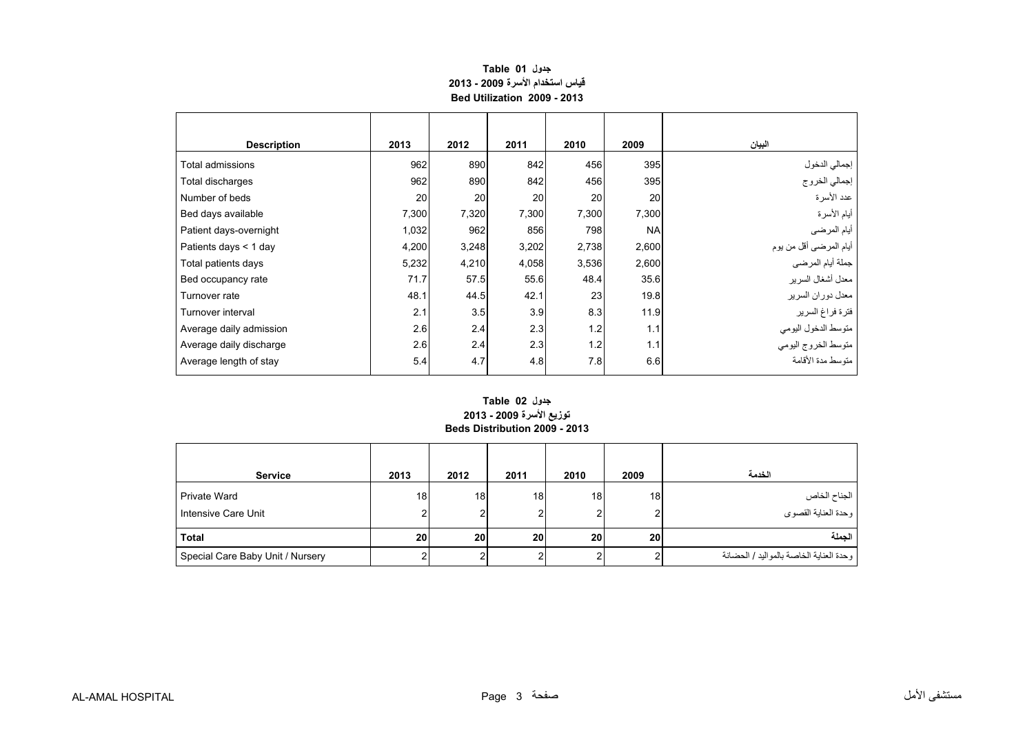# **جدول 01 Table قياس استخدام األسرة 2009 - 2013 Bed Utilization 2009 - 2013**

<span id="page-1-0"></span>

| <b>Description</b>      | 2013  | 2012  | 2011  | 2010  | 2009      | البيان                  |
|-------------------------|-------|-------|-------|-------|-----------|-------------------------|
| Total admissions        | 962   | 890   | 842   | 456   | 395       | إجمالي الدخول           |
| Total discharges        | 962   | 890   | 842   | 456   | 395       | إجمالي الخروج           |
| Number of beds          | 20    | 20    | 20    | 20    | 20        | عدد الأسرة              |
| Bed days available      | 7,300 | 7,320 | 7,300 | 7,300 | 7,300     | أيام الأسرة             |
| Patient days-overnight  | 1,032 | 962   | 856   | 798   | <b>NA</b> | أيام المرضى             |
| Patients days < 1 day   | 4,200 | 3,248 | 3,202 | 2,738 | 2,600     | أيام المرضىي أقل من يوم |
| Total patients days     | 5,232 | 4,210 | 4,058 | 3,536 | 2,600     | جملة أيام المرضى        |
| Bed occupancy rate      | 71.7  | 57.5  | 55.6  | 48.4  | 35.6      | معدل أشغال السرير       |
| Turnover rate           | 48.1  | 44.5  | 42.1  | 23    | 19.8      | معدل دوران السرير       |
| Turnover interval       | 2.1   | 3.5   | 3.9   | 8.3   | 11.9      | فترة فراغ السرير        |
| Average daily admission | 2.6   | 2.4   | 2.3   | 1.2   | 1.1       | متوسط الدخول اليومي     |
| Average daily discharge | 2.6   | 2.4   | 2.3   | 1.2   | 1.1       | متوسط الخروج اليومي     |
| Average length of stay  | 5.4   | 4.7   | 4.8   | 7.8   | 6.6       | متوسط مدة الأقامة       |

#### **توزيع األسرة 2009 - 2013 Beds Distribution 2009 - 2013 جدول 02 Table**

| <b>Service</b>                             | 2013            | 2012 | 2011    | 2010    | 2009            | الخدمة                                  |
|--------------------------------------------|-----------------|------|---------|---------|-----------------|-----------------------------------------|
| <b>Private Ward</b><br>Intensive Care Unit | 18 <sup>1</sup> | 18   | 18<br>ົ | 18<br>2 | 18              | الجناح الخاص<br>وحدة العناية القصوي     |
| <b>Total</b>                               | <b>20</b>       | 20   | 20      | 20      | 20 <sub>1</sub> | الحملة                                  |
| Special Care Baby Unit / Nursery           |                 |      |         |         |                 | وحدة العناية الخاصة بالمواليد / الحضانة |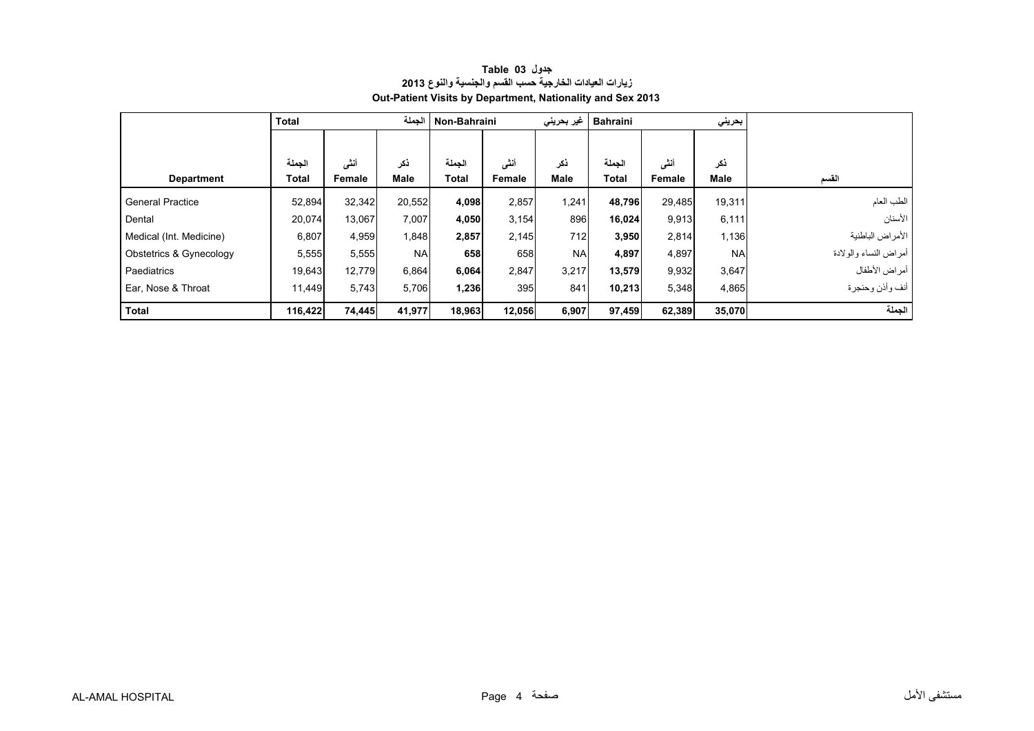<span id="page-2-0"></span>

|                         | <b>Total</b> |        | الحملة      | Non-Bahraini |        | غیر بحرین <i>ی</i> | <b>Bahraini</b> |        | بحريني    |                       |
|-------------------------|--------------|--------|-------------|--------------|--------|--------------------|-----------------|--------|-----------|-----------------------|
|                         |              |        |             |              |        |                    |                 |        |           |                       |
|                         | الجملة       | أنشى   | ذكر         | الجملة       | أننى   | ذكر                | الجملة          | أننى   | نكر       |                       |
| <b>Department</b>       | Total        | Female | <b>Male</b> | Total        | Female | Male               | Total           | Female | Male      | القسم                 |
| <b>General Practice</b> | 52,894       | 32,342 | 20,552      | 4,098        | 2,857  | 1,241              | 48,796          | 29,485 | 19,311    | الطب العام            |
| Dental                  | 20,074       | 13,067 | 7,007       | 4,050        | 3,154  | 896                | 16,024          | 9,913  | 6,111     | الأسنان               |
| Medical (Int. Medicine) | 6,807        | 4,959  | 1,848       | 2,857        | 2,145  | 712                | 3,950           | 2,814  | 1,136     | ا الأمراض الباطنية    |
| Obstetrics & Gynecology | 5,555        | 5,555  | <b>NA</b>   | 658          | 658    | <b>NA</b>          | 4,897           | 4,897  | <b>NA</b> | أمراض النساء والولادة |
| Paediatrics             | 19,643       | 12,779 | 6,864       | 6,064        | 2,847  | 3,217              | 13,579          | 9,932  | 3,647     | أمراض الأطفال         |
| Ear, Nose & Throat      | 11,449       | 5,743  | 5,706       | 1,236        | 395    | 841                | 10,213          | 5,348  | 4,865     | أنف وأذن وحنجرة       |
| Total                   | 116,422      | 74,445 | 41,977      | 18,963       | 12,056 | 6,907              | 97,459          | 62,389 | 35,070    | الجملة                |

# **جدول 03 Table زيارات العيادات الخارجية حسب القسم والجنسية والنوع <sup>2013</sup> Out-Patient Visits by Department, Nationality and Sex 2013**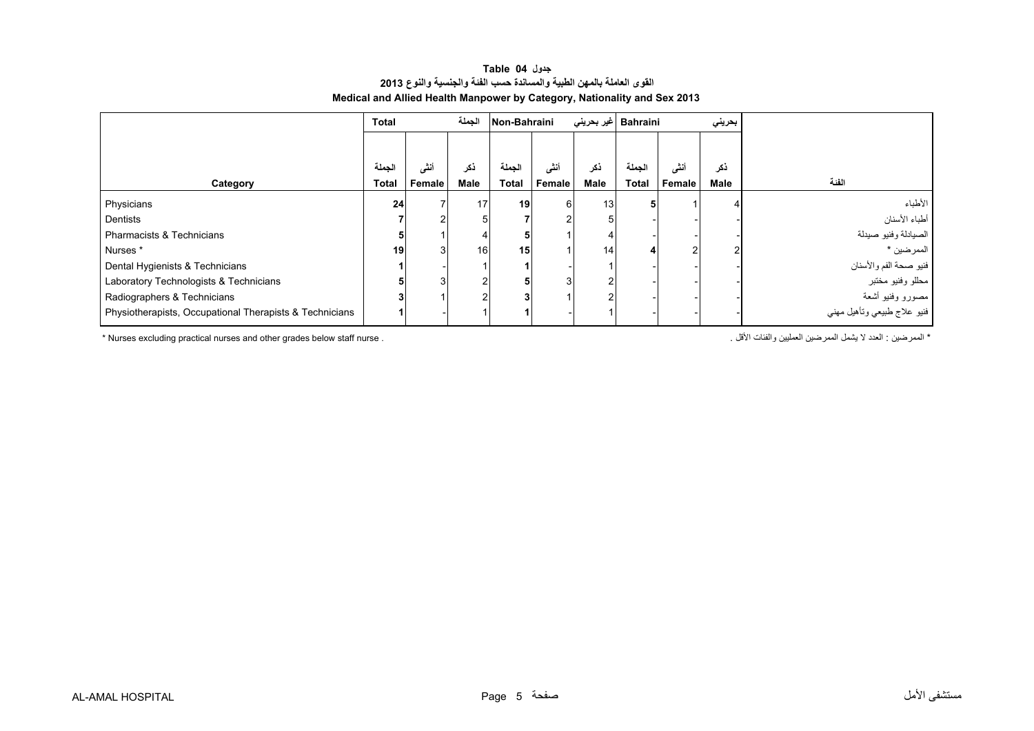### **جدول 04 Table القوى العاملة بالمھن الطبية والمساندة حسب الفئة والجنسية والنوع <sup>2013</sup> Medical and Allied Health Manpower by Category, Nationality and Sex 2013**

<span id="page-3-0"></span>

|                                                         | <b>Total</b> |        | الجملة         | Non-Bahraini |        |      | Bahraini  غیر بحرینی |        | بحريني |                             |
|---------------------------------------------------------|--------------|--------|----------------|--------------|--------|------|----------------------|--------|--------|-----------------------------|
|                                                         |              |        |                |              |        |      |                      |        |        |                             |
|                                                         | الجملة       | أنشى   | ڏکر            | الحملة       | أنشى   | ذكر  | الجملة               | أنشى   | ذكر    |                             |
| Category                                                | <b>Total</b> | Female | Male           | <b>Total</b> | Female | Male | <b>Total</b>         | Female | Male   | الفئة                       |
| Physicians                                              | 24           |        | 17             | 19           | 6      | 13   |                      |        |        | الأطباء                     |
| Dentists                                                |              |        | 5              |              |        |      |                      |        |        | أطباء الأسنان               |
| Pharmacists & Technicians                               |              |        | 4              |              |        |      |                      |        |        | الصيادلة وفنيو صيدلة        |
| Nurses *                                                | 19           |        | 16             | 15           |        | 14   |                      |        |        | الممرضين *                  |
| Dental Hygienists & Technicians                         |              |        |                |              |        |      |                      |        |        | فنيو صحة الفم والأسنان      |
| Laboratory Technologists & Technicians                  |              | 3      | 2              |              | 3      |      |                      |        |        | مطلو وفنيو مختبر            |
| Radiographers & Technicians                             |              |        | $\overline{c}$ |              |        |      |                      |        |        | مصىورو وفنيو أشعة           |
| Physiotherapists, Occupational Therapists & Technicians |              |        |                |              |        |      |                      |        |        | فنيو علاج طبيعي وتأهيل مهني |

\* Nurses excluding practical nurses and other grades below staff nurse . . األقل والفئات العمليين الممرضين يشمل ال العدد : الممرضين\*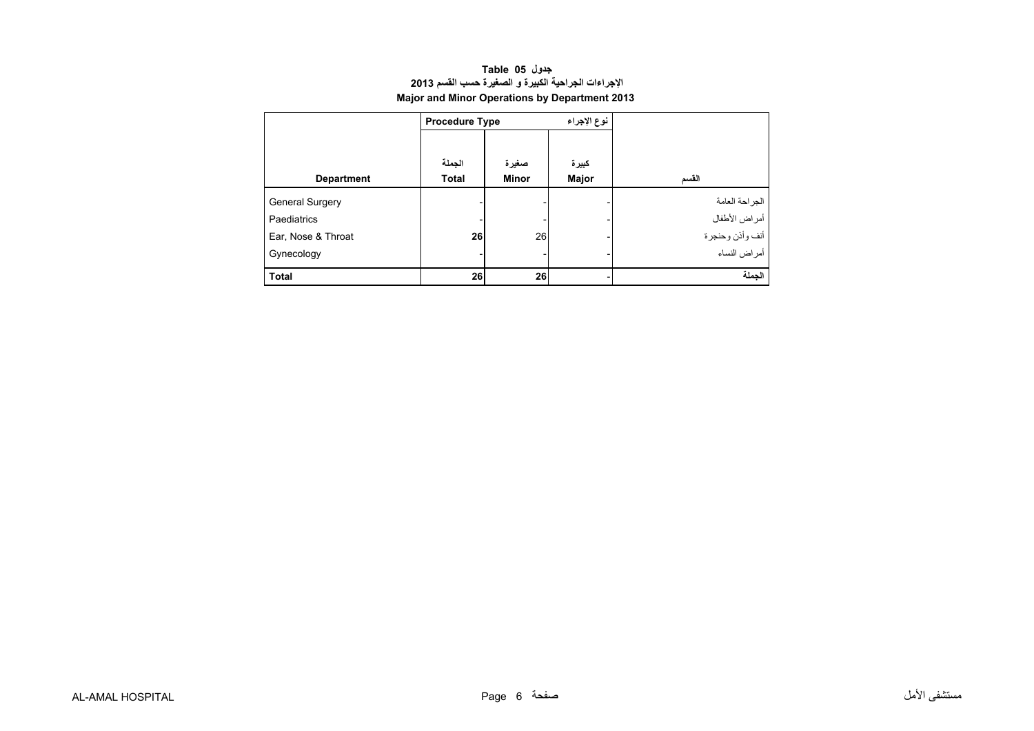| جدول Table 05                                        |
|------------------------------------------------------|
| الإجراءات الجراحية الكبيرة و الصغيرة حسب القسم 2013  |
| <b>Major and Minor Operations by Department 2013</b> |

<span id="page-4-0"></span>

|                        | <b>Procedure Type</b> |              | نوع الإجراء |                 |
|------------------------|-----------------------|--------------|-------------|-----------------|
|                        |                       |              |             |                 |
|                        | الجملة                | صغيرة        | كبيرة       |                 |
| <b>Department</b>      | <b>Total</b>          | <b>Minor</b> | Major       | القسم           |
| <b>General Surgery</b> |                       |              |             | الجز احة العامة |
| Paediatrics            |                       |              |             | أمراض الأطفال   |
| Ear, Nose & Throat     | 26                    | 26           |             | أنف وأذن وحنجرة |
| Gynecology             |                       |              |             | أمراض النساء    |
| <b>Total</b>           | 26                    | 26           |             | الجملة          |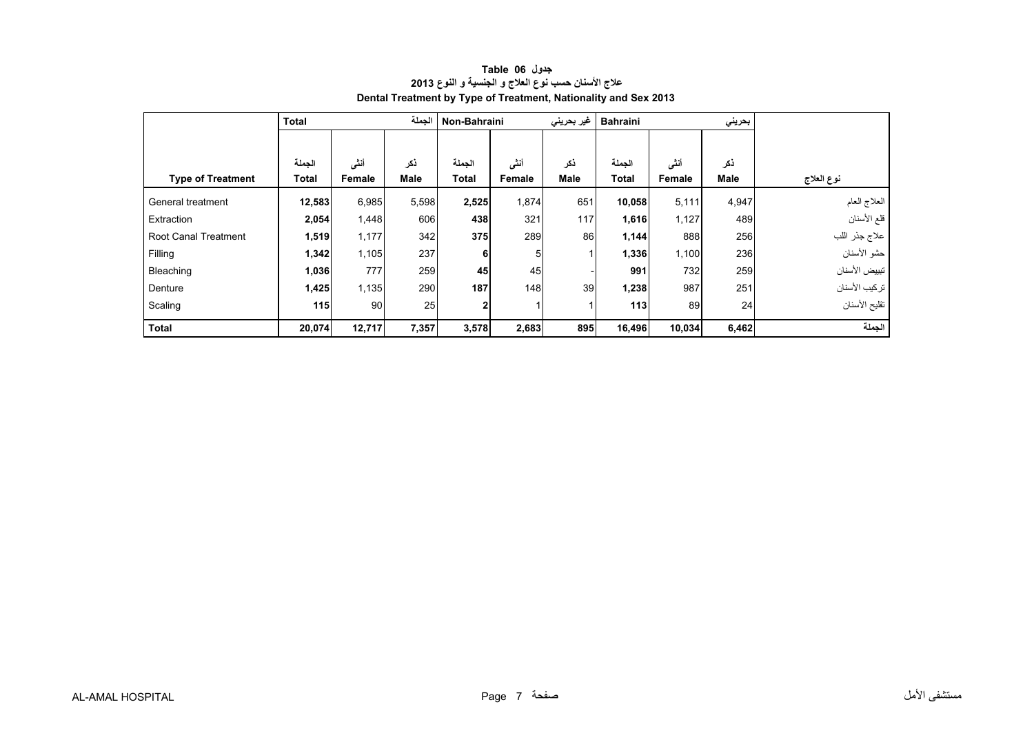<span id="page-5-0"></span>

|                             | Total        |        | الجملة      | Non-Bahraini |        | غیر بحرینی  | <b>Bahraini</b><br>بحريني |        |       |               |
|-----------------------------|--------------|--------|-------------|--------------|--------|-------------|---------------------------|--------|-------|---------------|
|                             |              |        |             |              |        |             |                           |        |       |               |
|                             | الجملة       | أنشى   | ذكر         | الجملة       | أننى   | ذكر         | الجملة                    | أنشى   | ذكر   |               |
| <b>Type of Treatment</b>    | <b>Total</b> | Female | <b>Male</b> | <b>Total</b> | Female | <b>Male</b> | <b>Total</b>              | Female | Male  | نوع العلاج    |
| General treatment           | 12,583       | 6,985  | 5,598       | 2,525        | 1,874  | 651         | 10,058                    | 5,111  | 4,947 | العلاج العام  |
| Extraction                  | 2,054        | 1,448  | 606         | 438          | 321    | 117         | 1,616                     | 1,127  | 489   | قلع الأسنان   |
| <b>Root Canal Treatment</b> | 1,519        | 1,177  | 342         | 375          | 289    | 86          | 1,144                     | 888    | 256   | علاج جذر اللب |
| Filling                     | 1,342        | 1,105  | 237         | 6            | 5      |             | 1,336                     | 1,100  | 236   | حشو الأسنان   |
| Bleaching                   | 1,036        | 777    | 259         | 45           | 45     |             | 991                       | 732    | 259   | تبييض الأسنان |
| Denture                     | 1,425        | 1,135  | 290         | 187          | 148    | 39          | 1,238                     | 987    | 251   | تركيب الأسنان |
| Scaling                     | $115$        | 90     | 25          | $\mathbf{2}$ |        |             | 113                       | 89     | 24    | تقليح الأسنان |
| <b>Total</b>                | 20,074       | 12,717 | 7,357       | 3,578        | 2,683  | 895         | 16,496                    | 10,034 | 6,462 | الجملة        |

# **جدول 06 Table عالج األسنان حسب نوع العالج <sup>و</sup> الجنسية <sup>و</sup> النوع <sup>2013</sup> Dental Treatment by Type of Treatment, Nationality and Sex 2013**